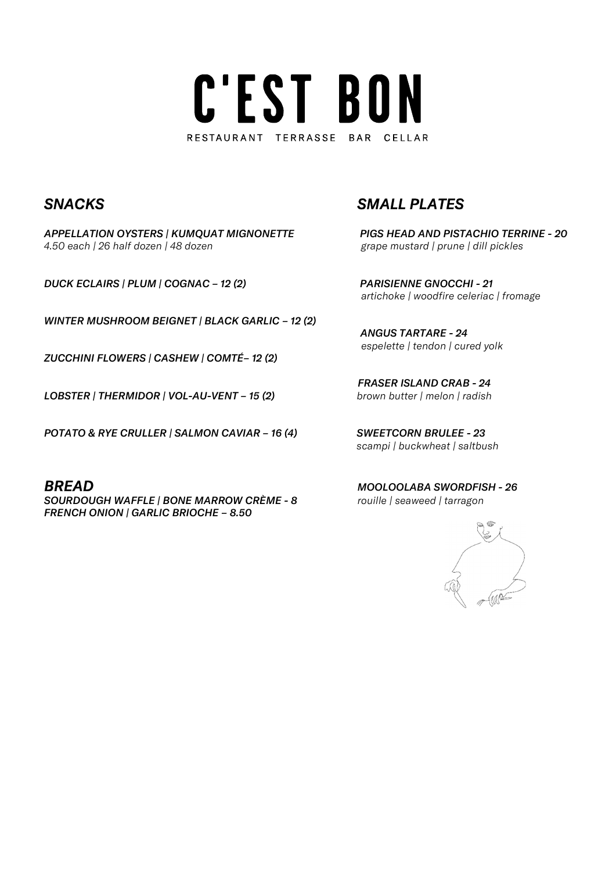# C'EST BON RESTAURANT TERRASSE BAR CELLAR

APPELLATION OYSTERS | KUMQUAT MIGNONETTE PIGS HEAD AND PISTACHIO TERRINE - 20 4.50 each | 26 half dozen | 48 dozen grape mustard | prune | dill pickles

DUCK ECLAIRS | PLUM | COGNAC – 12 (2) PARISIENNE GNOCCHI - 21

WINTER MUSHROOM BEIGNET | BLACK GARLIC – 12 (2)

ZUCCHINI FLOWERS | CASHEW | COMTÉ– 12 (2)

LOBSTER | THERMIDOR | VOL-AU-VENT - 15 (2) brown butter | melon | radish

POTATO & RYE CRULLER | SALMON CAVIAR – 16 (4) SWEETCORN BRULEE - 23

SOURDOUGH WAFFLE | BONE MARROW CRÈME - 8 rouille | seaweed | tarragon FRENCH ONION | GARLIC BRIOCHE – 8.50 

## SNACKS SMALL PLATES

artichoke | woodfire celeriac | fromage

 ANGUS TARTARE - 24 espelette | tendon | cured yolk

FRASER ISLAND CRAB - 24

scampi | buckwheat | saltbush

**BREAD** MOOLOOLABA SWORDFISH - 26